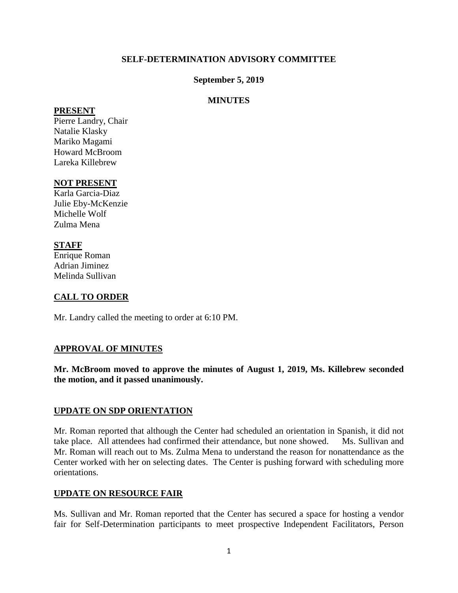### **SELF-DETERMINATION ADVISORY COMMITTEE**

### **September 5, 2019**

### **MINUTES**

#### **PRESENT**

Pierre Landry, Chair Natalie Klasky Mariko Magami Howard McBroom Lareka Killebrew

### **NOT PRESENT**

Karla Garcia-Diaz Julie Eby-McKenzie Michelle Wolf Zulma Mena

### **STAFF**

Enrique Roman Adrian Jiminez Melinda Sullivan

### **CALL TO ORDER**

Mr. Landry called the meeting to order at 6:10 PM.

### **APPROVAL OF MINUTES**

**Mr. McBroom moved to approve the minutes of August 1, 2019, Ms. Killebrew seconded the motion, and it passed unanimously.** 

### **UPDATE ON SDP ORIENTATION**

Mr. Roman reported that although the Center had scheduled an orientation in Spanish, it did not take place. All attendees had confirmed their attendance, but none showed. Ms. Sullivan and Mr. Roman will reach out to Ms. Zulma Mena to understand the reason for nonattendance as the Center worked with her on selecting dates. The Center is pushing forward with scheduling more orientations.

### **UPDATE ON RESOURCE FAIR**

Ms. Sullivan and Mr. Roman reported that the Center has secured a space for hosting a vendor fair for Self-Determination participants to meet prospective Independent Facilitators, Person